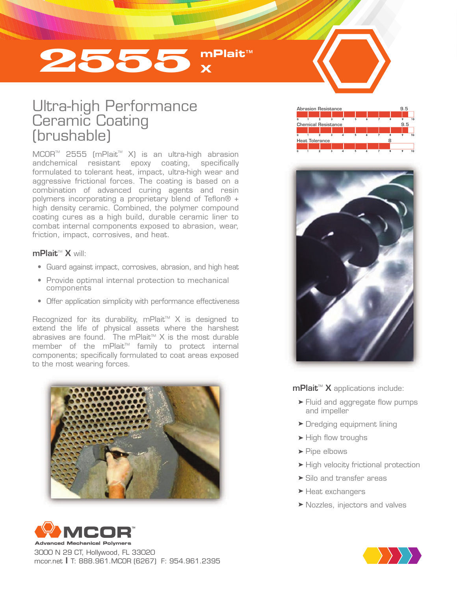# 2555 **mPlait**™ **X**

## Ultra-high Performance Ceramic Coating (brushable)

MCOR<sup>™</sup> 2555 (mPlait<sup>™</sup> X) is an ultra-high abrasion andchemical resistant epoxy coating, specifically formulated to tolerant heat, impact, ultra-high wear and aggressive frictional forces. The coating is based on a combination of advanced curing agents and resin polymers incorporating a proprietary blend of Teflon® + high density ceramic. Combined, the polymer compound coating cures as a high build, durable ceramic liner to combat internal components exposed to abrasion, wear, friction, impact, corrosives, and heat.

### $mPlait^M X$  will:

- Guard against impact, corrosives, abrasion, and high heat
- Provide optimal internal protection to mechanical components
- Offer application simplicity with performance effectiveness

Recognized for its durability, mPlait<sup> $M$ </sup> X is designed to extend the life of physical assets where the harshest abrasives are found. The mPlait<sup> $M$ </sup> X is the most durable member of the mPlait™ family to protect internal components; specifically formulated to coat areas exposed to the most wearing forces.





3000 N 29 CT, Hollywood, FL 33020 mcor.net I T: 888.961.MCOR (6267) F: 954.961.2395





 $m$ Plait<sup>M</sup> X applications include:

- Fluid and aggregate flow pumps and impeller
- **Dredging equipment lining**
- $\blacktriangleright$  High flow troughs
- Pipe elbows
- High velocity frictional protection
- Silo and transfer areas
- ▶ Heat exchangers
- Nozzles, injectors and valves